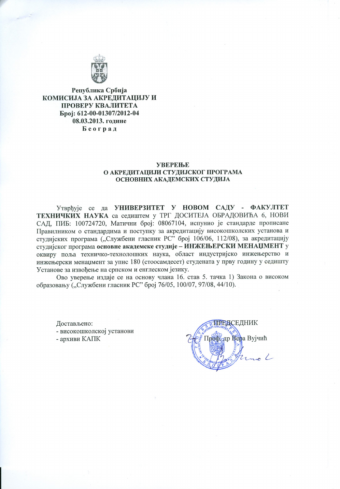

Република Србија КОМИСИЈА ЗА АКРЕДИТАЦИЈУ И ПРОВЕРУ КВАЛИТЕТА Epoj: 612-00-01307/2012-04 08.03.2013. године Београд

### **УВЕРЕЊЕ** О АКРЕДИТАЦИЈИ СТУДИЈСКОГ ПРОГРАМА ОСНОВНИХ АКАДЕМСКИХ СТУДИЈА

Утврђује се да УНИВЕРЗИТЕТ У НОВОМ САДУ - ФАКУЛТЕТ ТЕХНИЧКИХ НАУКА са седиштем у ТРГ ДОСИТЕЈА ОБРАДОВИЋА 6, НОВИ САД, ПИБ: 100724720, Матични број: 08067104, испунио је стандарде прописане Правилником о стандардима и поступку за акредитацију високошколских установа и студијских програма ("Службени гласник РС" број 106/06, 112/08), за акредитацију студијског програма основне академске студије - ИНЖЕЊЕРСКИ МЕНАЦМЕНТ у оквиру поља техничко-технолошких наука, област индустријско инжењерство и инжењерски менацмент за упис 180 (стоосамдесет) студената у прву годину у седишту Установе за извођење на српском и енглеском језику.

Ово уверење издаје се на основу члана 16. став 5. тачка 1) Закона о високом образовању ("Службени гласник РС" број 76/05, 100/07, 97/08, 44/10).

Достављено:

- високошколској установи

- архиви КАПК

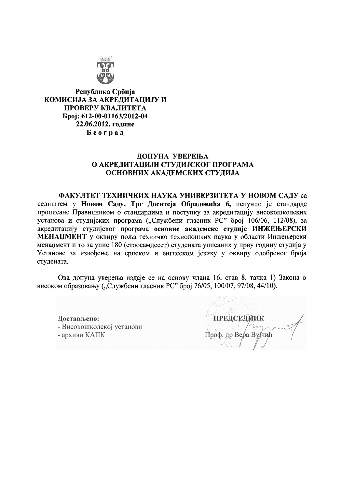

Република Србија КОМИСИЈА ЗА АКРЕДИТАЦИЈУ И ПРОВЕРУ КВАЛИТЕТА Број: 612-00-01163/2012-04 22.06.2012. године Београд

## ДОПУНА УВЕРЕЊА О АКРЕДИТАЦИЈИ СТУДИЈСКОГ ПРОГРАМА ОСНОВНИХ АКАДЕМСКИХ СТУДИЈА

ФАКУЛТЕТ ТЕХНИЧКИХ НАУКА УНИВЕРЗИТЕТА У НОВОМ САДУ са седиштем у Новом Саду, Трг Доситеја Обрадовића 6, испунио је стандарде прописане Правилником о стандардима и поступку за акредитацију високошколских установа и студијских програма ("Службени гласник РС" број 106/06, 112/08), за акредитацију студијског програма основне академске студије ИНЖЕЊЕРСКИ МЕНАЏМЕНТ у оквиру поља техничко технолошких наука у области Инжењерски менацмент и то за упис 180 (стоосамдесет) студената уписаних у прву годину студија у Установе за извођење на српском и енглеском језику у оквиру одобреног броја студената.

Ова допуна уверења издаје се на основу члана 16. став 8. тачка 1) Закона о високом образовању ("Службени гласник РС" број 76/05, 100/07, 97/08, 44/10).

Достављено: - Високошколској установи - архиви КАПК

**ПРЕДСЕДНИК** Проф. др Вера Вујчић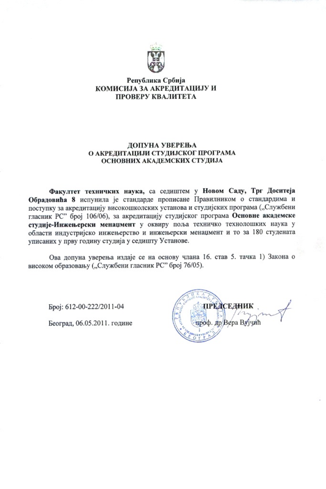

### Република Србија КОМИСИЈА ЗА АКРЕДИТАЦИЈУ И ПРОВЕРУ КВАЛИТЕТА

#### ДОПУНА УВЕРЕЊА О АКРЕДИТАЦИЈИ СТУДИЈСКОГ ПРОГРАМА ОСНОВНИХ АКАДЕМСКИХ СТУДИЈА

Факултет техничких наука, са седиштем у Новом Саду, Трг Доситеја Обрадовића 8 испунила је стандарде прописане Правилником о стандардима и поступку за акредитацију високошколских установа и студијских програма ("Службени гласник РС" број 106/06), за акредитацију студијског програма Основне академске студије-Инжењерски менаџмент у оквиру поља техничко технолошких наука у области индустријско инжењерство и инжењерски менацмент и то за 180 студената уписаних у прву годину студија у седишту Установе.

Ова допуна уверења издаје се на основу члана 16. став 5. тачка 1) Закона о високом образовању ("Службени гласник РС" број 76/05).

Epoj: 612-00-222/2011-04

Београд, 06.05.2011. године

ПРЕДСЕЛНИК оф. др/Вера Вујчић